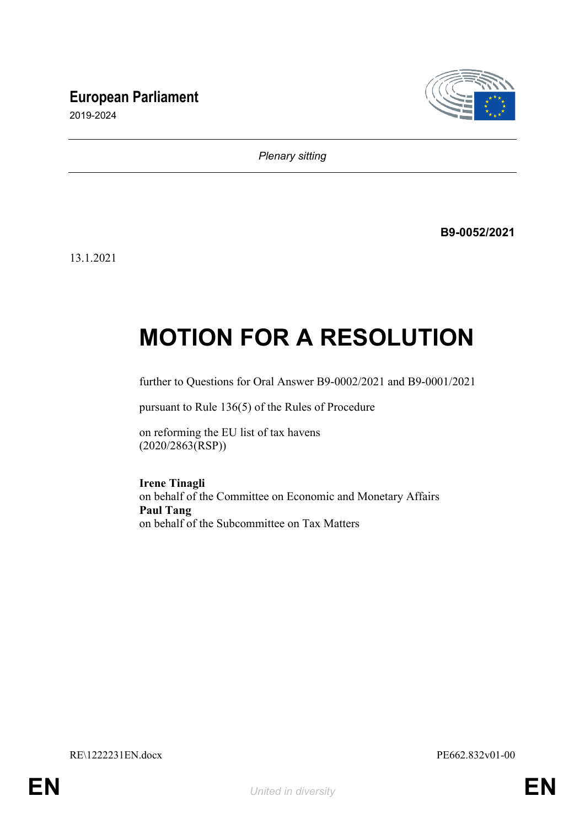# **European Parliament**



2019-2024

*Plenary sitting*

**B9-0052/2021**

13.1.2021

# **MOTION FOR A RESOLUTION**

further to Questions for Oral Answer B9-0002/2021 and B9-0001/2021

pursuant to Rule 136(5) of the Rules of Procedure

on reforming the EU list of tax havens (2020/2863(RSP))

**Irene Tinagli**

on behalf of the Committee on Economic and Monetary Affairs **Paul Tang** on behalf of the Subcommittee on Tax Matters

RE\1222231EN.docx PE662.832v01-00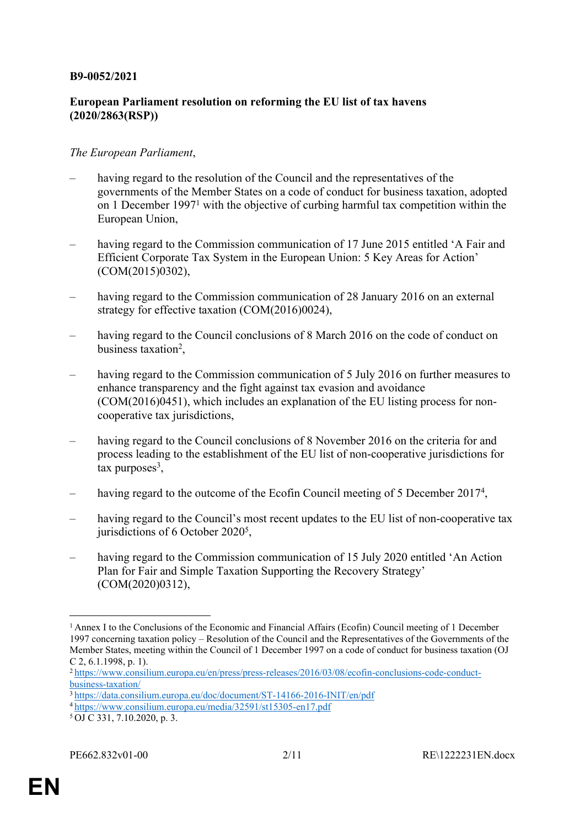#### **B9-0052/2021**

## **European Parliament resolution on reforming the EU list of tax havens (2020/2863(RSP))**

#### *The European Parliament*,

- having regard to the resolution of the Council and the representatives of the governments of the Member States on a code of conduct for business taxation, adopted on 1 December 1997<sup>1</sup> with the objective of curbing harmful tax competition within the European Union,
- having regard to the Commission communication of 17 June 2015 entitled 'A Fair and Efficient Corporate Tax System in the European Union: 5 Key Areas for Action' (COM(2015)0302),
- having regard to the Commission communication of 28 January 2016 on an external strategy for effective taxation (COM(2016)0024),
- having regard to the Council conclusions of 8 March 2016 on the code of conduct on business taxation<sup>2</sup>,
- having regard to the Commission communication of 5 July 2016 on further measures to enhance transparency and the fight against tax evasion and avoidance (COM(2016)0451), which includes an explanation of the EU listing process for noncooperative tax jurisdictions,
- having regard to the Council conclusions of 8 November 2016 on the criteria for and process leading to the establishment of the EU list of non-cooperative jurisdictions for  $\text{tax purposes}^3$ ,
- having regard to the outcome of the Ecofin Council meeting of 5 December 2017<sup>4</sup>,
- having regard to the Council's most recent updates to the EU list of non-cooperative tax jurisdictions of 6 October 2020<sup>5</sup>,
- having regard to the Commission communication of 15 July 2020 entitled 'An Action Plan for Fair and Simple Taxation Supporting the Recovery Strategy' (COM(2020)0312),

<sup>1</sup>Annex I to the Conclusions of the Economic and Financial Affairs (Ecofin) Council meeting of 1 December 1997 concerning taxation policy – Resolution of the Council and the Representatives of the Governments of the Member States, meeting within the Council of 1 December 1997 on a code of conduct for business taxation (OJ C 2, 6.1.1998, p. 1).

<sup>2</sup> [https://www.consilium.europa.eu/en/press/press-releases/2016/03/08/ecofin-conclusions-code-conduct](https://www.consilium.europa.eu/en/press/press-releases/2016/03/08/ecofin-conclusions-code-conduct-business-taxation/)[business-taxation/](https://www.consilium.europa.eu/en/press/press-releases/2016/03/08/ecofin-conclusions-code-conduct-business-taxation/)

<sup>3</sup><https://data.consilium.europa.eu/doc/document/ST-14166-2016-INIT/en/pdf>

<sup>4</sup><https://www.consilium.europa.eu/media/32591/st15305-en17.pdf>

<sup>5</sup> OJ C 331, 7.10.2020, p. 3.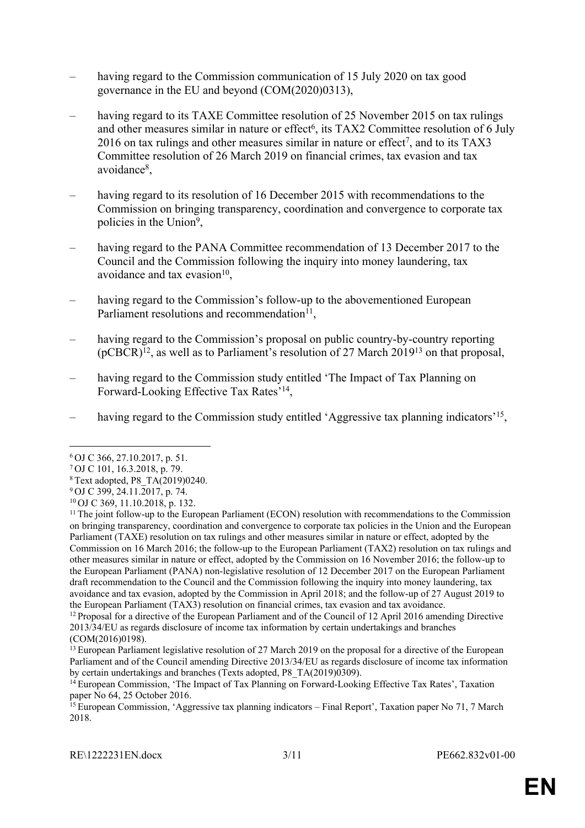- having regard to the Commission communication of 15 July 2020 on tax good governance in the EU and beyond (COM(2020)0313),
- having regard to its TAXE Committee resolution of 25 November 2015 on tax rulings and other measures similar in nature or effect<sup>6</sup>, its TAX2 Committee resolution of 6 July 2016 on tax rulings and other measures similar in nature or effect<sup>7</sup>, and to its TAX3 Committee resolution of 26 March 2019 on financial crimes, tax evasion and tax avoidance<sup>8</sup>,
- having regard to its resolution of 16 December 2015 with recommendations to the Commission on bringing transparency, coordination and convergence to corporate tax policies in the Union<sup>9</sup>,
- having regard to the PANA Committee recommendation of 13 December 2017 to the Council and the Commission following the inquiry into money laundering, tax avoidance and tax evasion $10$ ,
- having regard to the Commission's follow-up to the abovementioned European Parliament resolutions and recommendation<sup>11</sup>,
- having regard to the Commission's proposal on public country-by-country reporting (pCBCR)<sup>12</sup>, as well as to Parliament's resolution of 27 March 2019<sup>13</sup> on that proposal,
- having regard to the Commission study entitled 'The Impact of Tax Planning on Forward-Looking Effective Tax Rates'<sup>14</sup>,
- having regard to the Commission study entitled 'Aggressive tax planning indicators'<sup>15</sup>,

<sup>6</sup>OJ C 366, 27.10.2017, p. 51.

<sup>7</sup>OJ C 101, 16.3.2018, p. 79.

<sup>8</sup>Text adopted, P8\_TA(2019)0240.

<sup>9</sup>OJ C 399, 24.11.2017, p. 74.

<sup>10</sup>OJ C 369, 11.10.2018, p. 132.

<sup>&</sup>lt;sup>11</sup> The joint follow-up to the European Parliament (ECON) resolution with recommendations to the Commission on bringing transparency, coordination and convergence to corporate tax policies in the Union and the European Parliament (TAXE) resolution on tax rulings and other measures similar in nature or effect, adopted by the Commission on 16 March 2016; the follow-up to the European Parliament (TAX2) resolution on tax rulings and other measures similar in nature or effect, adopted by the Commission on 16 November 2016; the follow-up to the European Parliament (PANA) non-legislative resolution of 12 December 2017 on the European Parliament draft recommendation to the Council and the Commission following the inquiry into money laundering, tax avoidance and tax evasion, adopted by the Commission in April 2018; and the follow-up of 27 August 2019 to the European Parliament (TAX3) resolution on financial crimes, tax evasion and tax avoidance.

<sup>&</sup>lt;sup>12</sup> Proposal for a directive of the European Parliament and of the Council of 12 April 2016 amending Directive 2013/34/EU as regards disclosure of income tax information by certain undertakings and branches (COM(2016)0198).

<sup>&</sup>lt;sup>13</sup> European Parliament legislative resolution of 27 March 2019 on the proposal for a directive of the European Parliament and of the Council amending Directive 2013/34/EU as regards disclosure of income tax information by certain undertakings and branches (Texts adopted, P8\_TA(2019)0309).

<sup>&</sup>lt;sup>14</sup> European Commission, 'The Impact of Tax Planning on Forward-Looking Effective Tax Rates', Taxation paper No 64, 25 October 2016.

<sup>&</sup>lt;sup>15</sup> European Commission, 'Aggressive tax planning indicators – Final Report', Taxation paper No 71, 7 March 2018.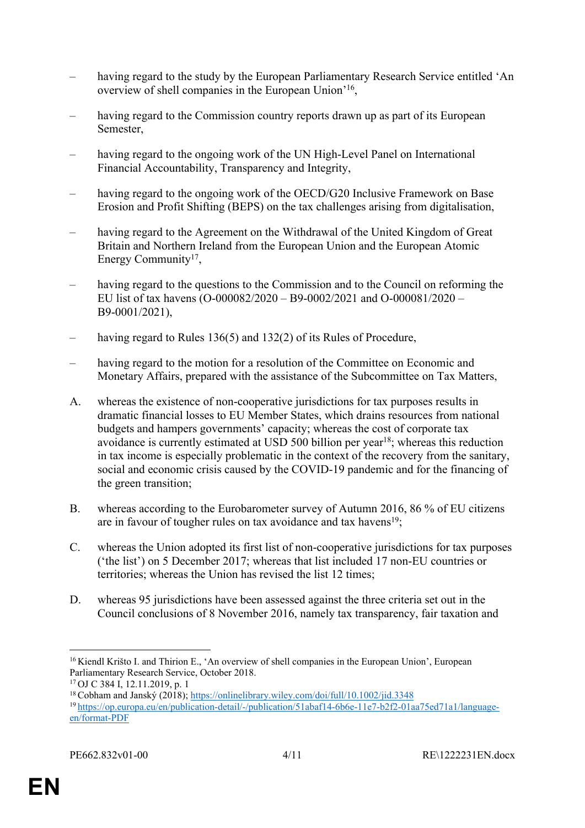- having regard to the study by the European Parliamentary Research Service entitled 'An overview of shell companies in the European Union'<sup>16</sup>,
- having regard to the Commission country reports drawn up as part of its European Semester,
- having regard to the ongoing work of the UN High-Level Panel on International Financial Accountability, Transparency and Integrity,
- having regard to the ongoing work of the OECD/G20 Inclusive Framework on Base Erosion and Profit Shifting (BEPS) on the tax challenges arising from digitalisation,
- having regard to the Agreement on the Withdrawal of the United Kingdom of Great Britain and Northern Ireland from the European Union and the European Atomic Energy Community<sup>17</sup>,
- having regard to the questions to the Commission and to the Council on reforming the EU list of tax havens (O-000082/2020 – B9-0002/2021 and O-000081/2020 – B9-0001/2021),
- having regard to Rules 136(5) and 132(2) of its Rules of Procedure,
- having regard to the motion for a resolution of the Committee on Economic and Monetary Affairs, prepared with the assistance of the Subcommittee on Tax Matters,
- A. whereas the existence of non-cooperative jurisdictions for tax purposes results in dramatic financial losses to EU Member States, which drains resources from national budgets and hampers governments' capacity; whereas the cost of corporate tax avoidance is currently estimated at USD 500 billion per year<sup>18</sup>; whereas this reduction in tax income is especially problematic in the context of the recovery from the sanitary, social and economic crisis caused by the COVID-19 pandemic and for the financing of the green transition;
- B. whereas according to the Eurobarometer survey of Autumn 2016, 86 % of EU citizens are in favour of tougher rules on tax avoidance and tax havens<sup>19</sup>;
- C. whereas the Union adopted its first list of non-cooperative jurisdictions for tax purposes ('the list') on 5 December 2017; whereas that list included 17 non-EU countries or territories; whereas the Union has revised the list 12 times;
- D. whereas 95 jurisdictions have been assessed against the three criteria set out in the Council conclusions of 8 November 2016, namely tax transparency, fair taxation and

<sup>&</sup>lt;sup>16</sup> Kiendl Krišto I. and Thirion E., 'An overview of shell companies in the European Union', European Parliamentary Research Service, October 2018.

<sup>17</sup>OJ C 384 I, 12.11.2019, p. 1

<sup>18</sup>Cobham and Janský (2018);<https://onlinelibrary.wiley.com/doi/full/10.1002/jid.3348> 19 [https://op.europa.eu/en/publication-detail/-/publication/51abaf14-6b6e-11e7-b2f2-01aa75ed71a1/language](https://op.europa.eu/en/publication-detail/-/publication/51abaf14-6b6e-11e7-b2f2-01aa75ed71a1/language-en/format-PDF)[en/format-PDF](https://op.europa.eu/en/publication-detail/-/publication/51abaf14-6b6e-11e7-b2f2-01aa75ed71a1/language-en/format-PDF)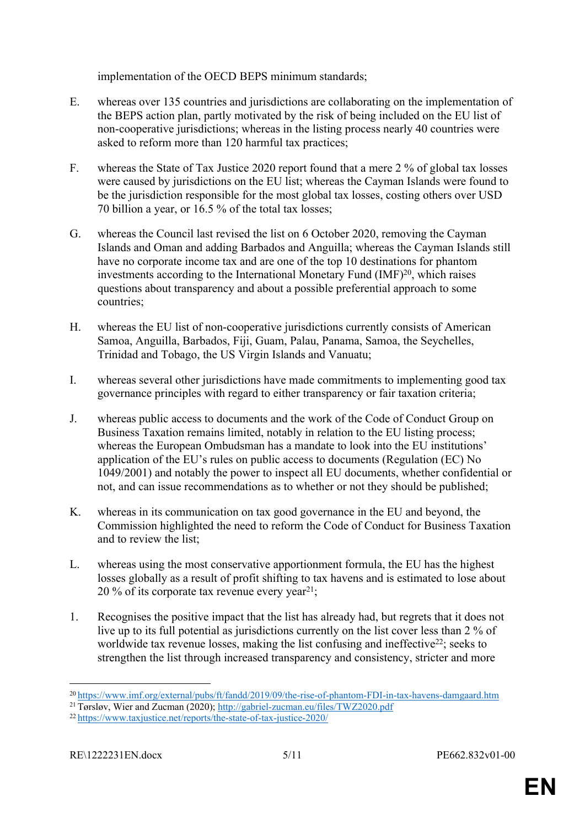implementation of the OECD BEPS minimum standards;

- E. whereas over 135 countries and jurisdictions are collaborating on the implementation of the BEPS action plan, partly motivated by the risk of being included on the EU list of non-cooperative jurisdictions; whereas in the listing process nearly 40 countries were asked to reform more than 120 harmful tax practices;
- F. whereas the State of Tax Justice 2020 report found that a mere 2 % of global tax losses were caused by jurisdictions on the EU list; whereas the Cayman Islands were found to be the jurisdiction responsible for the most global tax losses, costing others over USD 70 billion a year, or 16.5 % of the total tax losses;
- G. whereas the Council last revised the list on 6 October 2020, removing the Cayman Islands and Oman and adding Barbados and Anguilla; whereas the Cayman Islands still have no corporate income tax and are one of the top 10 destinations for phantom investments according to the International Monetary Fund  $(MF)^{20}$ , which raises questions about transparency and about a possible preferential approach to some countries;
- H. whereas the EU list of non-cooperative jurisdictions currently consists of American Samoa, Anguilla, Barbados, Fiji, Guam, Palau, Panama, Samoa, the Seychelles, Trinidad and Tobago, the US Virgin Islands and Vanuatu;
- I. whereas several other jurisdictions have made commitments to implementing good tax governance principles with regard to either transparency or fair taxation criteria;
- J. whereas public access to documents and the work of the Code of Conduct Group on Business Taxation remains limited, notably in relation to the EU listing process; whereas the European Ombudsman has a mandate to look into the EU institutions' application of the EU's rules on public access to documents (Regulation (EC) No 1049/2001) and notably the power to inspect all EU documents, whether confidential or not, and can issue recommendations as to whether or not they should be published;
- K. whereas in its communication on tax good governance in the EU and beyond, the Commission highlighted the need to reform the Code of Conduct for Business Taxation and to review the list:
- L. whereas using the most conservative apportionment formula, the EU has the highest losses globally as a result of profit shifting to tax havens and is estimated to lose about 20 % of its corporate tax revenue every year<sup>21</sup>;
- 1. Recognises the positive impact that the list has already had, but regrets that it does not live up to its full potential as jurisdictions currently on the list cover less than 2 % of worldwide tax revenue losses, making the list confusing and ineffective<sup>22</sup>; seeks to strengthen the list through increased transparency and consistency, stricter and more

<sup>20</sup><https://www.imf.org/external/pubs/ft/fandd/2019/09/the-rise-of-phantom-FDI-in-tax-havens-damgaard.htm>

<sup>21</sup>Tørsløv, Wier and Zucman (2020); <http://gabriel-zucman.eu/files/TWZ2020.pdf>

<sup>22</sup> <https://www.taxjustice.net/reports/the-state-of-tax-justice-2020/>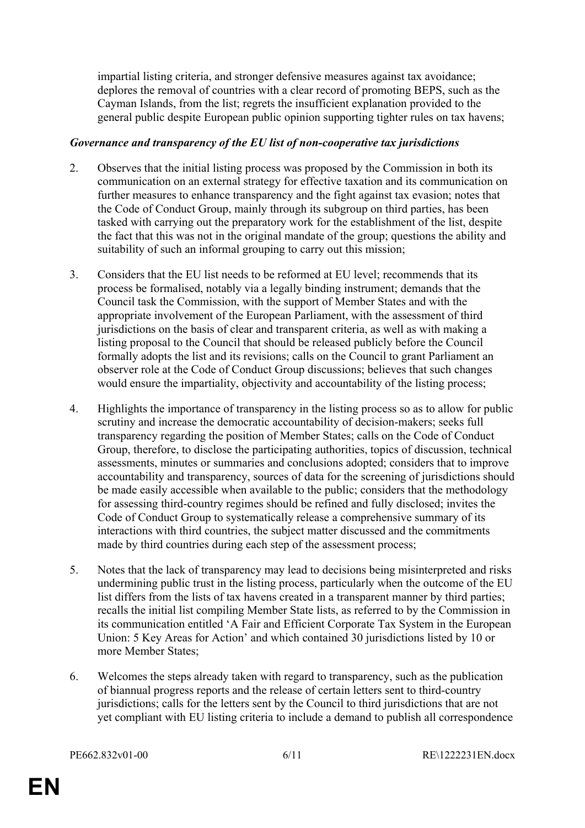impartial listing criteria, and stronger defensive measures against tax avoidance; deplores the removal of countries with a clear record of promoting BEPS, such as the Cayman Islands, from the list; regrets the insufficient explanation provided to the general public despite European public opinion supporting tighter rules on tax havens;

#### *Governance and transparency of the EU list of non-cooperative tax jurisdictions*

- 2. Observes that the initial listing process was proposed by the Commission in both its communication on an external strategy for effective taxation and its communication on further measures to enhance transparency and the fight against tax evasion; notes that the Code of Conduct Group, mainly through its subgroup on third parties, has been tasked with carrying out the preparatory work for the establishment of the list, despite the fact that this was not in the original mandate of the group; questions the ability and suitability of such an informal grouping to carry out this mission;
- 3. Considers that the EU list needs to be reformed at EU level; recommends that its process be formalised, notably via a legally binding instrument; demands that the Council task the Commission, with the support of Member States and with the appropriate involvement of the European Parliament, with the assessment of third jurisdictions on the basis of clear and transparent criteria, as well as with making a listing proposal to the Council that should be released publicly before the Council formally adopts the list and its revisions; calls on the Council to grant Parliament an observer role at the Code of Conduct Group discussions; believes that such changes would ensure the impartiality, objectivity and accountability of the listing process;
- 4. Highlights the importance of transparency in the listing process so as to allow for public scrutiny and increase the democratic accountability of decision-makers; seeks full transparency regarding the position of Member States; calls on the Code of Conduct Group, therefore, to disclose the participating authorities, topics of discussion, technical assessments, minutes or summaries and conclusions adopted; considers that to improve accountability and transparency, sources of data for the screening of jurisdictions should be made easily accessible when available to the public; considers that the methodology for assessing third-country regimes should be refined and fully disclosed; invites the Code of Conduct Group to systematically release a comprehensive summary of its interactions with third countries, the subject matter discussed and the commitments made by third countries during each step of the assessment process;
- 5. Notes that the lack of transparency may lead to decisions being misinterpreted and risks undermining public trust in the listing process, particularly when the outcome of the EU list differs from the lists of tax havens created in a transparent manner by third parties; recalls the initial list compiling Member State lists, as referred to by the Commission in its communication entitled 'A Fair and Efficient Corporate Tax System in the European Union: 5 Key Areas for Action' and which contained 30 jurisdictions listed by 10 or more Member States;
- 6. Welcomes the steps already taken with regard to transparency, such as the publication of biannual progress reports and the release of certain letters sent to third-country jurisdictions; calls for the letters sent by the Council to third jurisdictions that are not yet compliant with EU listing criteria to include a demand to publish all correspondence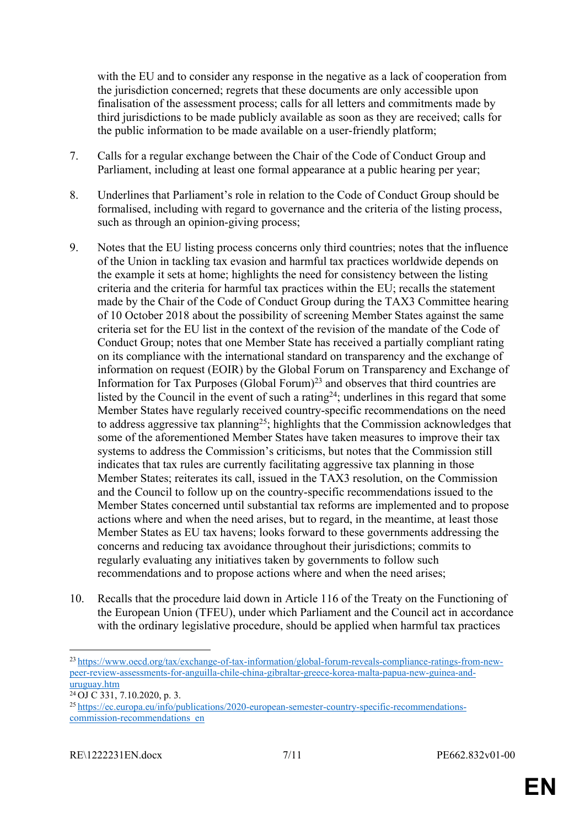with the EU and to consider any response in the negative as a lack of cooperation from the jurisdiction concerned; regrets that these documents are only accessible upon finalisation of the assessment process; calls for all letters and commitments made by third jurisdictions to be made publicly available as soon as they are received; calls for the public information to be made available on a user-friendly platform;

- 7. Calls for a regular exchange between the Chair of the Code of Conduct Group and Parliament, including at least one formal appearance at a public hearing per year;
- 8. Underlines that Parliament's role in relation to the Code of Conduct Group should be formalised, including with regard to governance and the criteria of the listing process, such as through an opinion-giving process;
- 9. Notes that the EU listing process concerns only third countries; notes that the influence of the Union in tackling tax evasion and harmful tax practices worldwide depends on the example it sets at home; highlights the need for consistency between the listing criteria and the criteria for harmful tax practices within the EU; recalls the statement made by the Chair of the Code of Conduct Group during the TAX3 Committee hearing of 10 October 2018 about the possibility of screening Member States against the same criteria set for the EU list in the context of the revision of the mandate of the Code of Conduct Group; notes that one Member State has received a partially compliant rating on its compliance with the international standard on transparency and the exchange of information on request (EOIR) by the Global Forum on Transparency and Exchange of Information for Tax Purposes (Global Forum)<sup>23</sup> and observes that third countries are listed by the Council in the event of such a rating<sup>24</sup>; underlines in this regard that some Member States have regularly received country-specific recommendations on the need to address aggressive tax planning<sup>25</sup>; highlights that the Commission acknowledges that some of the aforementioned Member States have taken measures to improve their tax systems to address the Commission's criticisms, but notes that the Commission still indicates that tax rules are currently facilitating aggressive tax planning in those Member States; reiterates its call, issued in the TAX3 resolution, on the Commission and the Council to follow up on the country-specific recommendations issued to the Member States concerned until substantial tax reforms are implemented and to propose actions where and when the need arises, but to regard, in the meantime, at least those Member States as EU tax havens; looks forward to these governments addressing the concerns and reducing tax avoidance throughout their jurisdictions; commits to regularly evaluating any initiatives taken by governments to follow such recommendations and to propose actions where and when the need arises;
- 10. Recalls that the procedure laid down in Article 116 of the Treaty on the Functioning of the European Union (TFEU), under which Parliament and the Council act in accordance with the ordinary legislative procedure, should be applied when harmful tax practices

<sup>23</sup> [https://www.oecd.org/tax/exchange-of-tax-information/global-forum-reveals-compliance-ratings-from-new](https://www.oecd.org/tax/exchange-of-tax-information/global-forum-reveals-compliance-ratings-from-new-peer-review-assessments-for-anguilla-chile-china-gibraltar-greece-korea-malta-papua-new-guinea-and-uruguay.htm)[peer-review-assessments-for-anguilla-chile-china-gibraltar-greece-korea-malta-papua-new-guinea-and](https://www.oecd.org/tax/exchange-of-tax-information/global-forum-reveals-compliance-ratings-from-new-peer-review-assessments-for-anguilla-chile-china-gibraltar-greece-korea-malta-papua-new-guinea-and-uruguay.htm)[uruguay.htm](https://www.oecd.org/tax/exchange-of-tax-information/global-forum-reveals-compliance-ratings-from-new-peer-review-assessments-for-anguilla-chile-china-gibraltar-greece-korea-malta-papua-new-guinea-and-uruguay.htm)

 $24$  OJ C 331, 7.10.2020, p. 3.

<sup>25</sup> [https://ec.europa.eu/info/publications/2020-european-semester-country-specific-recommendations](https://ec.europa.eu/info/publications/2020-european-semester-country-specific-recommendations-commission-recommendations_en)[commission-recommendations\\_en](https://ec.europa.eu/info/publications/2020-european-semester-country-specific-recommendations-commission-recommendations_en)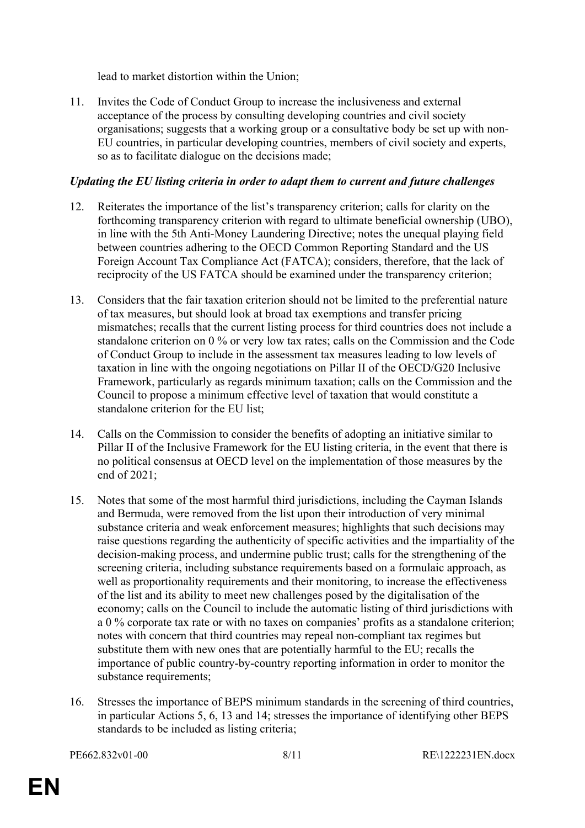lead to market distortion within the Union;

11. Invites the Code of Conduct Group to increase the inclusiveness and external acceptance of the process by consulting developing countries and civil society organisations; suggests that a working group or a consultative body be set up with non-EU countries, in particular developing countries, members of civil society and experts, so as to facilitate dialogue on the decisions made;

## *Updating the EU listing criteria in order to adapt them to current and future challenges*

- 12. Reiterates the importance of the list's transparency criterion; calls for clarity on the forthcoming transparency criterion with regard to ultimate beneficial ownership (UBO), in line with the 5th Anti-Money Laundering Directive; notes the unequal playing field between countries adhering to the OECD Common Reporting Standard and the US Foreign Account Tax Compliance Act (FATCA); considers, therefore, that the lack of reciprocity of the US FATCA should be examined under the transparency criterion;
- 13. Considers that the fair taxation criterion should not be limited to the preferential nature of tax measures, but should look at broad tax exemptions and transfer pricing mismatches; recalls that the current listing process for third countries does not include a standalone criterion on 0 % or very low tax rates; calls on the Commission and the Code of Conduct Group to include in the assessment tax measures leading to low levels of taxation in line with the ongoing negotiations on Pillar II of the OECD/G20 Inclusive Framework, particularly as regards minimum taxation; calls on the Commission and the Council to propose a minimum effective level of taxation that would constitute a standalone criterion for the EU list;
- 14. Calls on the Commission to consider the benefits of adopting an initiative similar to Pillar II of the Inclusive Framework for the EU listing criteria, in the event that there is no political consensus at OECD level on the implementation of those measures by the end of 2021;
- 15. Notes that some of the most harmful third jurisdictions, including the Cayman Islands and Bermuda, were removed from the list upon their introduction of very minimal substance criteria and weak enforcement measures; highlights that such decisions may raise questions regarding the authenticity of specific activities and the impartiality of the decision-making process, and undermine public trust; calls for the strengthening of the screening criteria, including substance requirements based on a formulaic approach, as well as proportionality requirements and their monitoring, to increase the effectiveness of the list and its ability to meet new challenges posed by the digitalisation of the economy; calls on the Council to include the automatic listing of third jurisdictions with a 0 % corporate tax rate or with no taxes on companies' profits as a standalone criterion; notes with concern that third countries may repeal non-compliant tax regimes but substitute them with new ones that are potentially harmful to the EU; recalls the importance of public country-by-country reporting information in order to monitor the substance requirements;
- 16. Stresses the importance of BEPS minimum standards in the screening of third countries, in particular Actions 5, 6, 13 and 14; stresses the importance of identifying other BEPS standards to be included as listing criteria;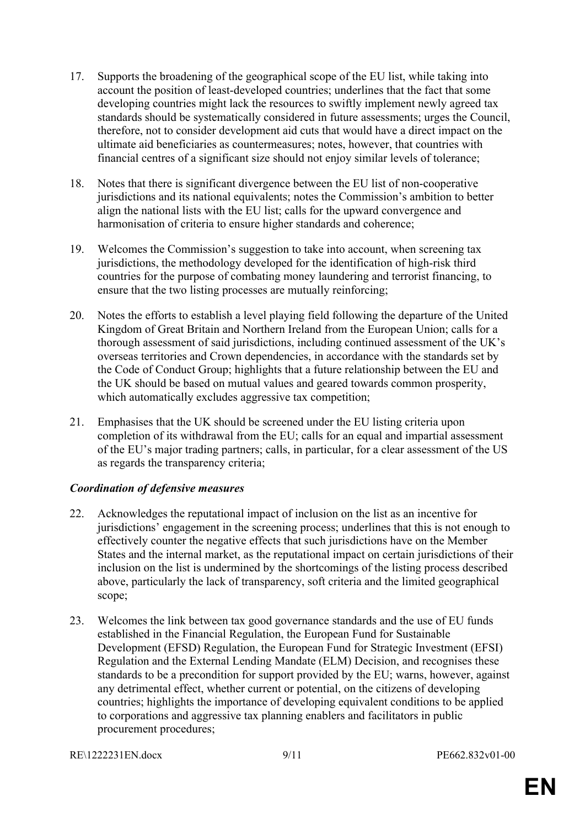- 17. Supports the broadening of the geographical scope of the EU list, while taking into account the position of least-developed countries; underlines that the fact that some developing countries might lack the resources to swiftly implement newly agreed tax standards should be systematically considered in future assessments; urges the Council, therefore, not to consider development aid cuts that would have a direct impact on the ultimate aid beneficiaries as countermeasures; notes, however, that countries with financial centres of a significant size should not enjoy similar levels of tolerance;
- 18. Notes that there is significant divergence between the EU list of non-cooperative jurisdictions and its national equivalents; notes the Commission's ambition to better align the national lists with the EU list; calls for the upward convergence and harmonisation of criteria to ensure higher standards and coherence;
- 19. Welcomes the Commission's suggestion to take into account, when screening tax jurisdictions, the methodology developed for the identification of high-risk third countries for the purpose of combating money laundering and terrorist financing, to ensure that the two listing processes are mutually reinforcing;
- 20. Notes the efforts to establish a level playing field following the departure of the United Kingdom of Great Britain and Northern Ireland from the European Union; calls for a thorough assessment of said jurisdictions, including continued assessment of the UK's overseas territories and Crown dependencies, in accordance with the standards set by the Code of Conduct Group; highlights that a future relationship between the EU and the UK should be based on mutual values and geared towards common prosperity, which automatically excludes aggressive tax competition;
- 21. Emphasises that the UK should be screened under the EU listing criteria upon completion of its withdrawal from the EU; calls for an equal and impartial assessment of the EU's major trading partners; calls, in particular, for a clear assessment of the US as regards the transparency criteria;

#### *Coordination of defensive measures*

- 22. Acknowledges the reputational impact of inclusion on the list as an incentive for jurisdictions' engagement in the screening process; underlines that this is not enough to effectively counter the negative effects that such jurisdictions have on the Member States and the internal market, as the reputational impact on certain jurisdictions of their inclusion on the list is undermined by the shortcomings of the listing process described above, particularly the lack of transparency, soft criteria and the limited geographical scope;
- 23. Welcomes the link between tax good governance standards and the use of EU funds established in the Financial Regulation, the European Fund for Sustainable Development (EFSD) Regulation, the European Fund for Strategic Investment (EFSI) Regulation and the External Lending Mandate (ELM) Decision, and recognises these standards to be a precondition for support provided by the EU; warns, however, against any detrimental effect, whether current or potential, on the citizens of developing countries; highlights the importance of developing equivalent conditions to be applied to corporations and aggressive tax planning enablers and facilitators in public procurement procedures;
- RE\1222231EN.docx 9/11 PE662.832v01-00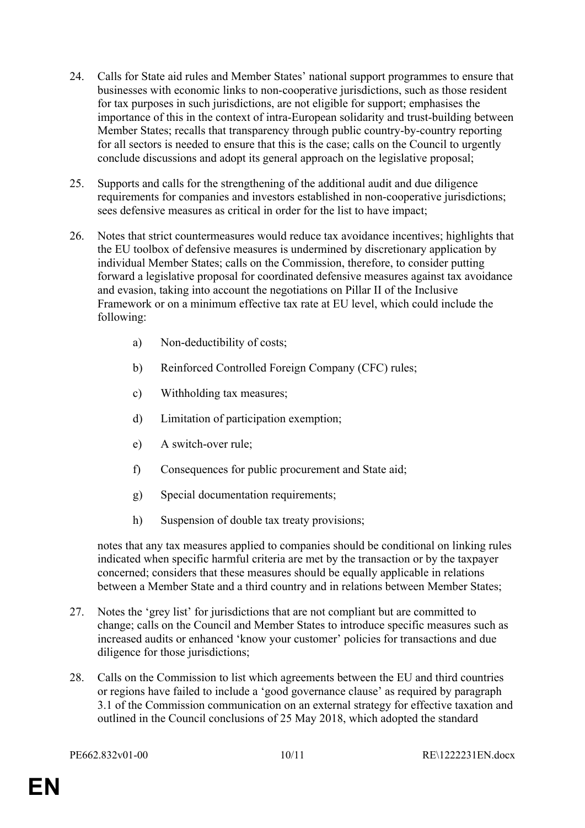- 24. Calls for State aid rules and Member States' national support programmes to ensure that businesses with economic links to non-cooperative jurisdictions, such as those resident for tax purposes in such jurisdictions, are not eligible for support; emphasises the importance of this in the context of intra-European solidarity and trust-building between Member States; recalls that transparency through public country-by-country reporting for all sectors is needed to ensure that this is the case; calls on the Council to urgently conclude discussions and adopt its general approach on the legislative proposal;
- 25. Supports and calls for the strengthening of the additional audit and due diligence requirements for companies and investors established in non-cooperative jurisdictions; sees defensive measures as critical in order for the list to have impact;
- 26. Notes that strict countermeasures would reduce tax avoidance incentives; highlights that the EU toolbox of defensive measures is undermined by discretionary application by individual Member States; calls on the Commission, therefore, to consider putting forward a legislative proposal for coordinated defensive measures against tax avoidance and evasion, taking into account the negotiations on Pillar II of the Inclusive Framework or on a minimum effective tax rate at EU level, which could include the following:
	- a) Non-deductibility of costs;
	- b) Reinforced Controlled Foreign Company (CFC) rules;
	- c) Withholding tax measures;
	- d) Limitation of participation exemption;
	- e) A switch-over rule;
	- f) Consequences for public procurement and State aid;
	- g) Special documentation requirements;
	- h) Suspension of double tax treaty provisions;

notes that any tax measures applied to companies should be conditional on linking rules indicated when specific harmful criteria are met by the transaction or by the taxpayer concerned; considers that these measures should be equally applicable in relations between a Member State and a third country and in relations between Member States;

- 27. Notes the 'grey list' for jurisdictions that are not compliant but are committed to change; calls on the Council and Member States to introduce specific measures such as increased audits or enhanced 'know your customer' policies for transactions and due diligence for those jurisdictions;
- 28. Calls on the Commission to list which agreements between the EU and third countries or regions have failed to include a 'good governance clause' as required by paragraph 3.1 of the Commission communication on an external strategy for effective taxation and outlined in the Council conclusions of 25 May 2018, which adopted the standard